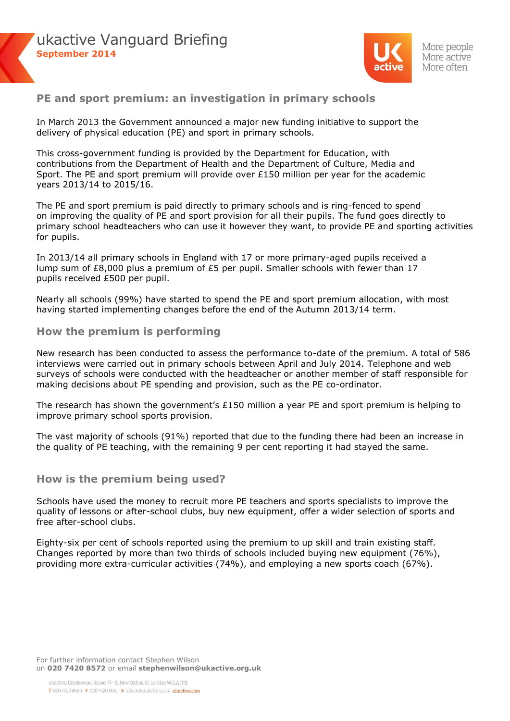



## **PE and sport premium: an investigation in primary schools**

In March 2013 the Government announced a major new funding initiative to support the delivery of physical education (PE) and sport in primary schools.

This cross-government funding is provided by the Department for Education, with contributions from the Department of Health and the Department of Culture, Media and Sport. The PE and sport premium will provide over £150 million per year for the academic years 2013/14 to 2015/16.

The PE and sport premium is paid directly to primary schools and is ring-fenced to spend on improving the quality of PE and sport provision for all their pupils. The fund goes directly to primary school headteachers who can use it however they want, to provide PE and sporting activities for pupils.

In 2013/14 all primary schools in England with 17 or more primary-aged pupils received a lump sum of £8,000 plus a premium of £5 per pupil. Smaller schools with fewer than 17 pupils received £500 per pupil.

Nearly all schools (99%) have started to spend the PE and sport premium allocation, with most having started implementing changes before the end of the Autumn 2013/14 term.

### **How the premium is performing**

New research has been conducted to assess the performance to-date of the premium. A total of 586 interviews were carried out in primary schools between April and July 2014. Telephone and web surveys of schools were conducted with the headteacher or another member of staff responsible for making decisions about PE spending and provision, such as the PE co-ordinator.

The research has shown the government's £150 million a year PE and sport premium is helping to improve primary school sports provision.

The vast majority of schools (91%) reported that due to the funding there had been an increase in the quality of PE teaching, with the remaining 9 per cent reporting it had stayed the same.

#### **How is the premium being used?**

Schools have used the money to recruit more PE teachers and sports specialists to improve the quality of lessons or after-school clubs, buy new equipment, offer a wider selection of sports and free after-school clubs.

Eighty-six per cent of schools reported using the premium to up skill and train existing staff. Changes reported by more than two thirds of schools included buying new equipment (76%), providing more extra-curricular activities (74%), and employing a new sports coach (67%).